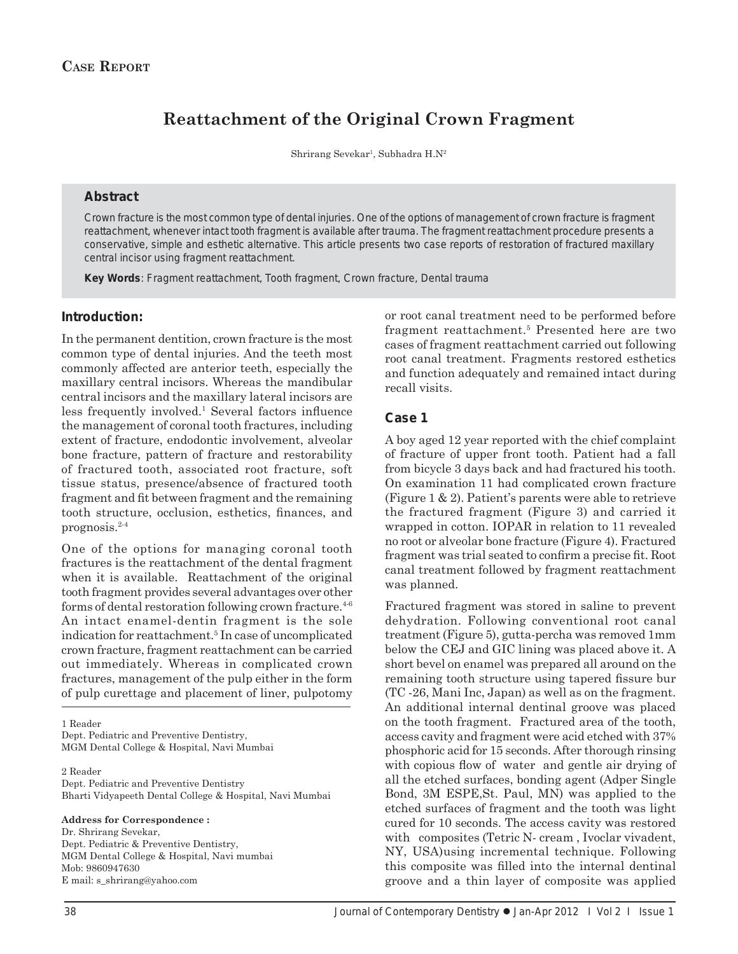# **Reattachment of the Original Crown Fragment**

Shrirang Sevekar<sup>1</sup>, Subhadra H.N<sup>2</sup>

## **Abstract**

Crown fracture is the most common type of dental injuries. One of the options of management of crown fracture is fragment reattachment, whenever intact tooth fragment is available after trauma. The fragment reattachment procedure presents a conservative, simple and esthetic alternative. This article presents two case reports of restoration of fractured maxillary central incisor using fragment reattachment.

*Key Words*: Fragment reattachment, Tooth fragment, Crown fracture, Dental trauma

## **Introduction:**

In the permanent dentition, crown fracture is the most common type of dental injuries. And the teeth most commonly affected are anterior teeth, especially the maxillary central incisors. Whereas the mandibular central incisors and the maxillary lateral incisors are less frequently involved.<sup>1</sup> Several factors influence the management of coronal tooth fractures, including extent of fracture, endodontic involvement, alveolar bone fracture, pattern of fracture and restorability of fractured tooth, associated root fracture, soft tissue status, presence/absence of fractured tooth fragment and fit between fragment and the remaining tooth structure, occlusion, esthetics, finances, and prognosis.2-4

One of the options for managing coronal tooth fractures is the reattachment of the dental fragment when it is available. Reattachment of the original tooth fragment provides several advantages over other forms of dental restoration following crown fracture.<sup>4-6</sup> An intact enamel-dentin fragment is the sole indication for reattachment.<sup>5</sup> In case of uncomplicated crown fracture, fragment reattachment can be carried out immediately. Whereas in complicated crown fractures, management of the pulp either in the form of pulp curettage and placement of liner, pulpotomy

1 Reader Dept. Pediatric and Preventive Dentistry, MGM Dental College & Hospital, Navi Mumbai

2 Reader Dept. Pediatric and Preventive Dentistry Bharti Vidyapeeth Dental College & Hospital, Navi Mumbai

**Address for Correspondence :**

Dr. Shrirang Sevekar, Dept. Pediatric & Preventive Dentistry, MGM Dental College & Hospital, Navi mumbai Mob: 9860947630 E mail: s\_shrirang@yahoo.com

or root canal treatment need to be performed before fragment reattachment.5 Presented here are two cases of fragment reattachment carried out following root canal treatment. Fragments restored esthetics and function adequately and remained intact during recall visits.

## **Case 1**

A boy aged 12 year reported with the chief complaint of fracture of upper front tooth. Patient had a fall from bicycle 3 days back and had fractured his tooth. On examination 11 had complicated crown fracture (Figure 1 & 2). Patient's parents were able to retrieve the fractured fragment (Figure 3) and carried it wrapped in cotton. IOPAR in relation to 11 revealed no root or alveolar bone fracture (Figure 4). Fractured fragment was trial seated to confirm a precise fit. Root canal treatment followed by fragment reattachment was planned.

Fractured fragment was stored in saline to prevent dehydration. Following conventional root canal treatment (Figure 5), gutta-percha was removed 1mm below the CEJ and GIC lining was placed above it. A short bevel on enamel was prepared all around on the remaining tooth structure using tapered fissure bur (TC -26, Mani Inc, Japan) as well as on the fragment. An additional internal dentinal groove was placed on the tooth fragment. Fractured area of the tooth, access cavity and fragment were acid etched with 37% phosphoric acid for 15 seconds. After thorough rinsing with copious flow of water and gentle air drying of all the etched surfaces, bonding agent (Adper Single Bond, 3M ESPE,St. Paul, MN) was applied to the etched surfaces of fragment and the tooth was light cured for 10 seconds. The access cavity was restored with composites (Tetric N- cream, Ivoclar vivadent, NY, USA)using incremental technique. Following this composite was filled into the internal dentinal groove and a thin layer of composite was applied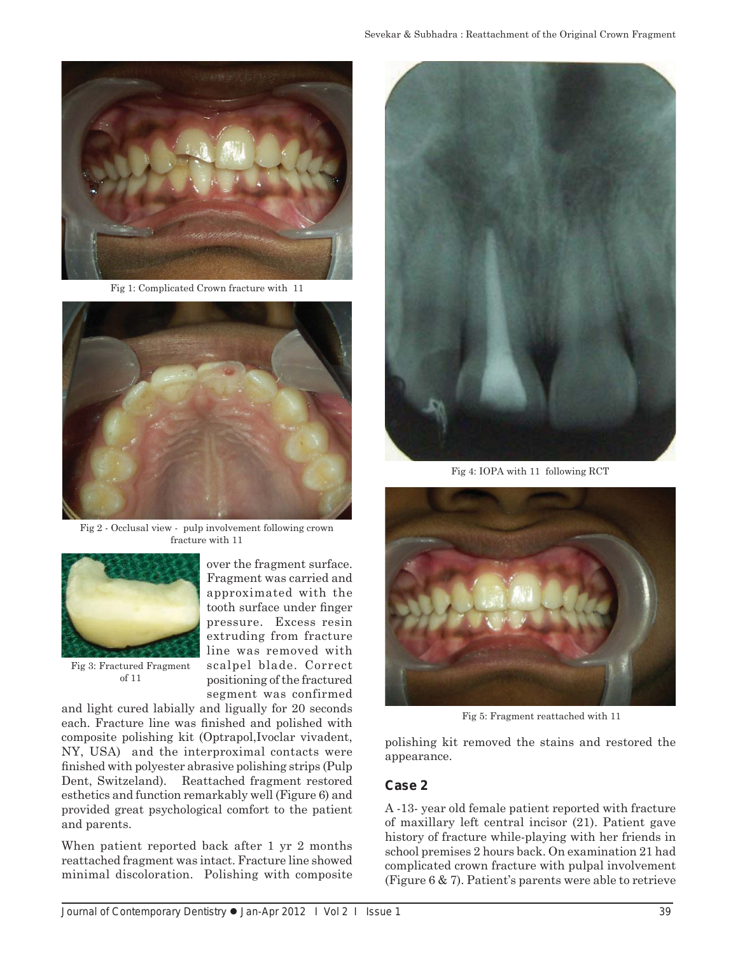

Fig 1: Complicated Crown fracture with 11



Fig 2 - Occlusal view - pulp involvement following crown fracture with 11



Fig 3: Fractured Fragment of 11

Fragment was carried and approximated with the tooth surface under finger pressure. Excess resin extruding from fracture line was removed with scalpel blade. Correct positioning of the fractured segment was confirmed and light cured labially and ligually for 20 seconds

over the fragment surface.

each. Fracture line was finished and polished with composite polishing kit (Optrapol,Ivoclar vivadent, NY, USA) and the interproximal contacts were finished with polyester abrasive polishing strips (Pulp Dent, Switzeland). Reattached fragment restored esthetics and function remarkably well (Figure 6) and provided great psychological comfort to the patient and parents.

When patient reported back after 1 yr 2 months reattached fragment was intact. Fracture line showed minimal discoloration. Polishing with composite



Fig 4: IOPA with 11 following RCT



Fig 5: Fragment reattached with 11

polishing kit removed the stains and restored the appearance.

#### **Case 2**

A -13- year old female patient reported with fracture of maxillary left central incisor (21). Patient gave history of fracture while-playing with her friends in school premises 2 hours back. On examination 21 had complicated crown fracture with pulpal involvement (Figure 6 & 7). Patient's parents were able to retrieve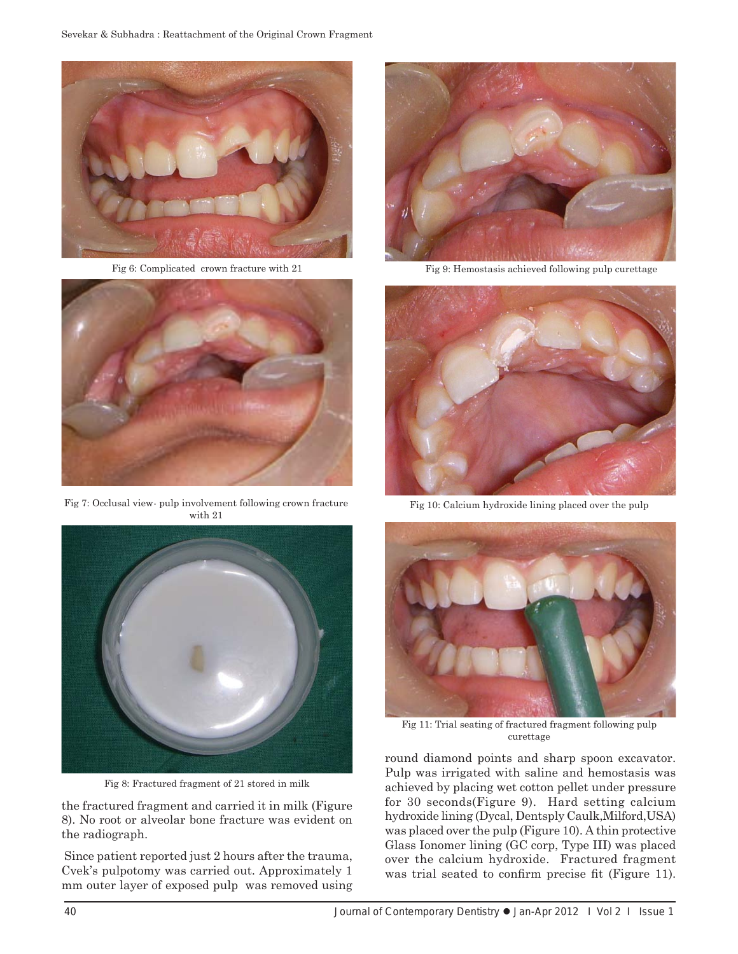

Fig 6: Complicated crown fracture with 21



Fig 7: Occlusal view- pulp involvement following crown fracture with 21



Fig 8: Fractured fragment of 21 stored in milk

the fractured fragment and carried it in milk (Figure 8). No root or alveolar bone fracture was evident on the radiograph.

 Since patient reported just 2 hours after the trauma, Cvek's pulpotomy was carried out. Approximately 1 mm outer layer of exposed pulp was removed using



Fig 9: Hemostasis achieved following pulp curettage



Fig 10: Calcium hydroxide lining placed over the pulp



Fig 11: Trial seating of fractured fragment following pulp curettage

round diamond points and sharp spoon excavator. Pulp was irrigated with saline and hemostasis was achieved by placing wet cotton pellet under pressure for 30 seconds(Figure 9). Hard setting calcium hydroxide lining (Dycal, Dentsply Caulk,Milford,USA) was placed over the pulp (Figure 10). A thin protective Glass Ionomer lining (GC corp, Type III) was placed over the calcium hydroxide. Fractured fragment was trial seated to confirm precise fit (Figure 11).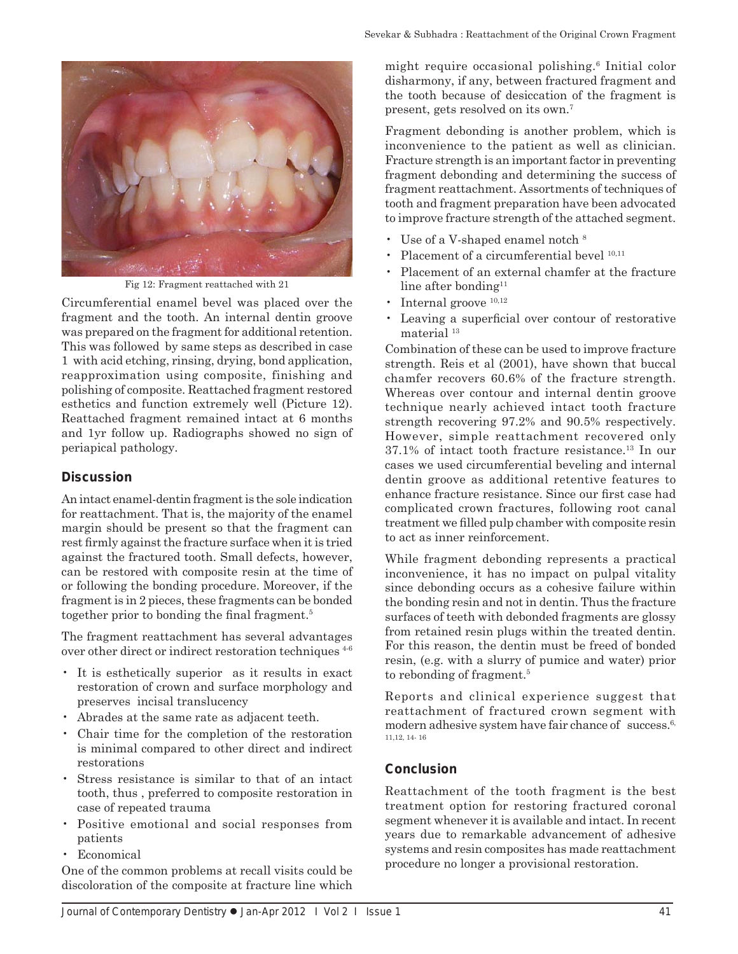

Fig 12: Fragment reattached with 21

Circumferential enamel bevel was placed over the fragment and the tooth. An internal dentin groove was prepared on the fragment for additional retention. This was followed by same steps as described in case 1 with acid etching, rinsing, drying, bond application, reapproximation using composite, finishing and polishing of composite. Reattached fragment restored esthetics and function extremely well (Picture 12). Reattached fragment remained intact at 6 months and 1yr follow up. Radiographs showed no sign of periapical pathology.

## **Discussion**

An intact enamel-dentin fragment is the sole indication for reattachment. That is, the majority of the enamel margin should be present so that the fragment can rest firmly against the fracture surface when it is tried against the fractured tooth. Small defects, however, can be restored with composite resin at the time of or following the bonding procedure. Moreover, if the fragment is in 2 pieces, these fragments can be bonded together prior to bonding the final fragment.<sup>5</sup>

The fragment reattachment has several advantages over other direct or indirect restoration techniques 4-6

- It is esthetically superior as it results in exact restoration of crown and surface morphology and preserves incisal translucency
- Abrades at the same rate as adjacent teeth.
- Chair time for the completion of the restoration is minimal compared to other direct and indirect restorations
- Stress resistance is similar to that of an intact tooth, thus , preferred to composite restoration in case of repeated trauma
- Positive emotional and social responses from patients
- Economical

One of the common problems at recall visits could be discoloration of the composite at fracture line which

might require occasional polishing.6 Initial color disharmony, if any, between fractured fragment and the tooth because of desiccation of the fragment is present, gets resolved on its own.7

Fragment debonding is another problem, which is inconvenience to the patient as well as clinician. Fracture strength is an important factor in preventing fragment debonding and determining the success of fragment reattachment. Assortments of techniques of tooth and fragment preparation have been advocated to improve fracture strength of the attached segment.

- Use of a V-shaped enamel notch  $8$
- Placement of a circumferential bevel  $^{10,11}$
- Placement of an external chamfer at the fracture line after bonding $11$
- Internal groove  $10,12$
- Leaving a superficial over contour of restorative material 13

Combination of these can be used to improve fracture strength. Reis et al (2001), have shown that buccal chamfer recovers 60.6% of the fracture strength. Whereas over contour and internal dentin groove technique nearly achieved intact tooth fracture strength recovering 97.2% and 90.5% respectively. However, simple reattachment recovered only 37.1% of intact tooth fracture resistance.13 In our cases we used circumferential beveling and internal dentin groove as additional retentive features to enhance fracture resistance. Since our first case had complicated crown fractures, following root canal treatment we filled pulp chamber with composite resin to act as inner reinforcement.

While fragment debonding represents a practical inconvenience, it has no impact on pulpal vitality since debonding occurs as a cohesive failure within the bonding resin and not in dentin. Thus the fracture surfaces of teeth with debonded fragments are glossy from retained resin plugs within the treated dentin. For this reason, the dentin must be freed of bonded resin, (e.g. with a slurry of pumice and water) prior to rebonding of fragment.<sup>5</sup>

Reports and clinical experience suggest that reattachment of fractured crown segment with modern adhesive system have fair chance of success.<sup>6,</sup> 11,12, 14- 16

# **Conclusion**

Reattachment of the tooth fragment is the best treatment option for restoring fractured coronal segment whenever it is available and intact. In recent years due to remarkable advancement of adhesive systems and resin composites has made reattachment procedure no longer a provisional restoration.